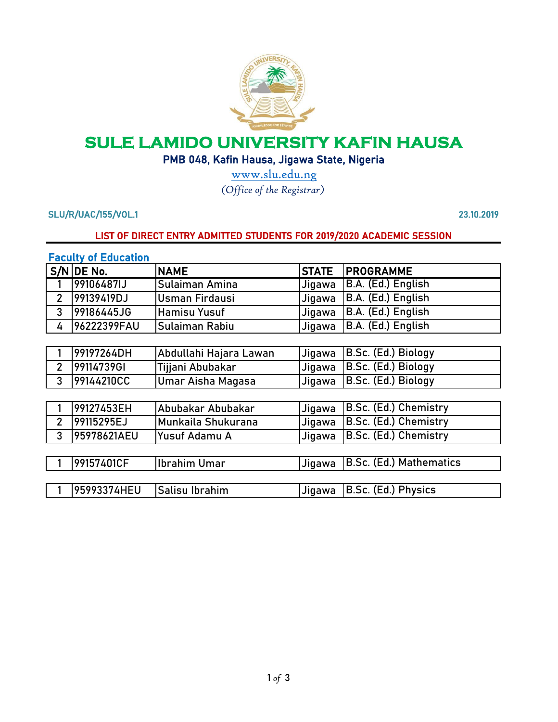

# **SULE LAMIDO UNIVERSITY KAFIN HAUSA**

## PMB 048, Kafin Hausa, Jigawa State, Nigeria

[w](http://www.slu.edu.ng/)ww.slu.edu.ng *[\(](http://www.slu.edu.ng/)Office of the Registrar)*

SLU/R/UAC/155/VOL.1 23.10.2019

#### LIST OF DIRECT ENTRY ADMITTED STUDENTS FOR 2019/2020 ACADEMIC SESSION

#### Faculty of Education

|                | S/N DE No.  | <b>NAME</b>            | <b>STATE</b> | <b>PROGRAMME</b>        |
|----------------|-------------|------------------------|--------------|-------------------------|
|                | 99106487IJ  | Sulaiman Amina         | Jigawa       | B.A. (Ed.) English      |
| $\overline{2}$ | 99139419DJ  | Usman Firdausi         | Jigawa       | B.A. (Ed.) English      |
| 3              | 99186445JG  | <b>Hamisu Yusuf</b>    | Jigawa       | B.A. (Ed.) English      |
| 4              | 96222399FAU | Sulaiman Rabiu         | Jigawa       | B.A. (Ed.) English      |
|                |             |                        |              |                         |
|                | 99197264DH  | Abdullahi Hajara Lawan | Jigawa       | B.Sc. (Ed.) Biology     |
| $\overline{2}$ | 99114739GI  | Tijjani Abubakar       | Jigawa       | B.Sc. (Ed.) Biology     |
| 3              | 99144210CC  | Umar Aisha Magasa      | Jigawa       | B.Sc. (Ed.) Biology     |
|                |             |                        |              |                         |
|                | 99127453EH  | Abubakar Abubakar      | Jigawa       | B.Sc. (Ed.) Chemistry   |
| $\overline{2}$ | 99115295EJ  | Munkaila Shukurana     | Jigawa       | B.Sc. (Ed.) Chemistry   |
| 3              | 95978621AEU | Yusuf Adamu A          | Jigawa       | B.Sc. (Ed.) Chemistry   |
|                |             |                        |              |                         |
|                | 99157401CF  | <b>Ibrahim Umar</b>    | Jigawa       | B.Sc. (Ed.) Mathematics |
|                |             |                        |              |                         |
|                | 95993374HEU | Salisu Ibrahim         | Jigawa       | B.Sc. (Ed.) Physics     |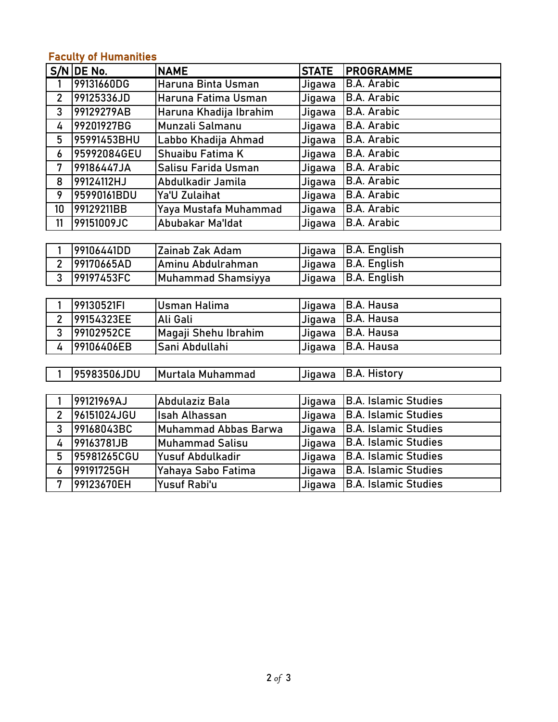# Faculty of Humanities

|                | $S/N$ DE No. | <b>NAME</b>                 | <b>STATE</b> | <b>PROGRAMME</b>            |
|----------------|--------------|-----------------------------|--------------|-----------------------------|
| 1              | 99131660DG   | Haruna Binta Usman          | Jigawa       | <b>B.A. Arabic</b>          |
| $\overline{2}$ | 99125336JD   | Haruna Fatima Usman         | Jigawa       | <b>B.A. Arabic</b>          |
| $\overline{3}$ | 99129279AB   | Haruna Khadija Ibrahim      | Jigawa       | <b>B.A. Arabic</b>          |
| 4              | 99201927BG   | Munzali Salmanu             | Jigawa       | <b>B.A. Arabic</b>          |
| 5              | 95991453BHU  | Labbo Khadija Ahmad         | Jigawa       | <b>B.A. Arabic</b>          |
| 6              | 95992084GEU  | Shuaibu Fatima K            | Jigawa       | <b>B.A. Arabic</b>          |
| 7              | 99186447JA   | Salisu Farida Usman         | Jigawa       | <b>B.A. Arabic</b>          |
| 8              | 99124112HJ   | Abdulkadir Jamila           | Jigawa       | <b>B.A. Arabic</b>          |
| 9              | 95990161BDU  | Ya'U Zulaihat               | Jigawa       | <b>B.A. Arabic</b>          |
| 10             | 99129211BB   | Yaya Mustafa Muhammad       | Jigawa       | <b>B.A. Arabic</b>          |
| 11             | 99151009JC   | Abubakar Ma'ldat            | Jigawa       | <b>B.A. Arabic</b>          |
|                |              |                             |              |                             |
| 1              | 99106441DD   | Zainab Zak Adam             | Jigawa       | <b>B.A. English</b>         |
| $\overline{2}$ | 99170665AD   | Aminu Abdulrahman           | Jigawa       | <b>B.A. English</b>         |
| 3              | 99197453FC   | <b>Muhammad Shamsiyya</b>   | Jigawa       | <b>B.A. English</b>         |
|                |              |                             |              |                             |
| 1              | 99130521FI   | <b>Usman Halima</b>         | Jigawa       | <b>B.A. Hausa</b>           |
| $\overline{2}$ | 99154323EE   | Ali Gali                    | Jigawa       | <b>B.A. Hausa</b>           |
| 3              | 99102952CE   | Magaji Shehu Ibrahim        | Jigawa       | <b>B.A. Hausa</b>           |
| 4              | 99106406EB   | Sani Abdullahi              | Jigawa       | <b>B.A. Hausa</b>           |
|                |              |                             |              |                             |
| $\overline{1}$ | 95983506JDU  | Murtala Muhammad            | Jigawa       | <b>B.A. History</b>         |
|                |              |                             |              |                             |
| 1              | 99121969AJ   | Abdulaziz Bala              | Jigawa       | <b>B.A. Islamic Studies</b> |
| $\overline{2}$ | 96151024JGU  | Isah Alhassan               | Jigawa       | <b>B.A. Islamic Studies</b> |
| $\overline{3}$ | 99168043BC   | <b>Muhammad Abbas Barwa</b> | Jigawa       | <b>B.A. Islamic Studies</b> |
| 4              | 99163781JB   | <b>Muhammad Salisu</b>      | Jigawa       | <b>B.A. Islamic Studies</b> |
| 5              | 95981265CGU  | Yusuf Abdulkadir            | Jigawa       | <b>B.A. Islamic Studies</b> |
| 6              | 99191725GH   | Yahaya Sabo Fatima          | Jigawa       | <b>B.A. Islamic Studies</b> |
| $\overline{7}$ | 99123670EH   | Yusuf Rabi'u                | Jigawa       | <b>B.A. Islamic Studies</b> |